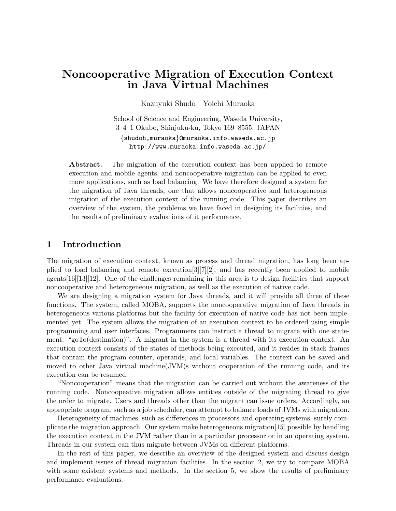# **Noncooperative Migration of Execution Context in Java Virtual Machines**

Kazuyuki Shudo Yoichi Muraoka

School of Science and Engineering, Waseda University, 3–4–1 Okubo, Shinjuku-ku, Tokyo 169–8555, JAPAN *{*shudoh,muraoka*}*@muraoka.info.waseda.ac.jp http://www.muraoka.info.waseda.ac.jp/

Abstract. The migration of the execution context has been applied to remote execution and mobile agents, and noncooperative migration can be applied to even more applications, such as load balancing. We have therefore designed a system for the migration of Java threads, one that allows noncooperative and heterogeneous migration of the execution context of the running code. This paper describes an overview of the system, the problems we have faced in designing its facilities, and the results of preliminary evaluations of it performance.

### **1 Introduction**

The migration of execution context, known as process and thread migration, has long been applied to load balancing and remote execution[3][7][2], and has recently been applied to mobile agents[16][13][12]. One of the challenges remaining in this area is to design facilities that support noncooperative and heterogeneous migration, as well as the execution of native code.

We are designing a migration system for Java threads, and it will provide all three of these functions. The system, called MOBA, supports the noncooperative migration of Java threads in heterogeneous various platforms but the facility for execution of native code has not been implemented yet. The system allows the migration of an execution context to be ordered using simple programming and user interfaces. Programmers can instruct a thread to migrate with one statement: "goTo(destination)". A migrant in the system is a thread with its execution context. An execution context consists of the states of methods being executed, and it resides in stack frames that contain the program counter, operands, and local variables. The context can be saved and moved to other Java virtual machine(JVM)s without cooperation of the running code, and its execution can be resumed.

"Noncooperation" means that the migration can be carried out without the awareness of the running code. Noncoopeative migration allows entities outside of the migrating thread to give the order to migrate. Users and threads other than the migrant can issue orders. Accordingly, an appropriate program, such as a job scheduler, can attempt to balance loads of JVMs with migration.

Heterogeneity of machines, such as differences in processors and operating systems, surely complicate the migration approach. Our system make heterogeneous migration[15] possible by handling the execution context in the JVM rather than in a particular processor or in an operating system. Threads in our system can thus migrate between JVMs on different platforms.

In the rest of this paper, we describe an overview of the designed system and discuss design and implement issues of thread migration facilities. In the section 2, we try to compare MOBA with some existent systems and methods. In the section 5, we show the results of preliminary performance evaluations.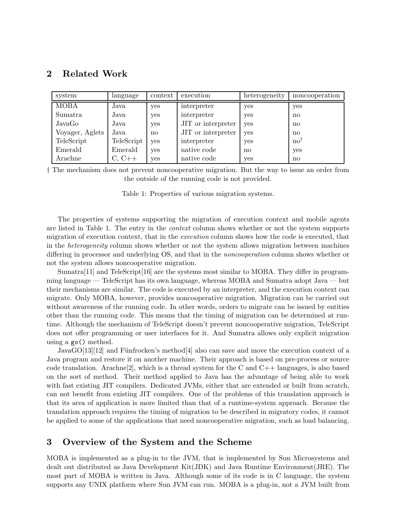## **2 Related Work**

| system          | language   | context | execution          | heterogeneity | noncooperation |
|-----------------|------------|---------|--------------------|---------------|----------------|
| <b>MOBA</b>     | Java       | yes     | interpreter        | yes           | yes            |
| Sumatra         | Java       | yes     | interpreter        | yes           | $\mathbf{n}$   |
| JavaGo          | Java       | yes     | JIT or interpreter | yes           | $\mathbf{n}$   |
| Voyager, Aglets | Java       | no      | JIT or interpreter | yes           | $\mathbf{n}$   |
| TeleScript      | TeleScript | yes     | interpreter        | yes           | $no^{\dagger}$ |
| Emerald         | Emerald    | yes     | native code        | $\mathbf{n}$  | yes            |
| Arachne         | $C, C++$   | yes     | native code        | yes           | $\mathbf{n}$   |

*†* The mechanism does not prevent noncooperative migration. But the way to issue an order from the outside of the running code is not provided.

Table 1: Properties of various migration systems.

The properties of systems supporting the migration of execution context and mobile agents are listed in Table 1. The entry in the *context* column shows whether or not the system supports migration of execution context, that in the *execution* column shows how the code is executed, that in the *heterogeneity* column shows whether or not the system allows migration between machines differing in processor and underlying OS, and that in the *noncooperation* column shows whether or not the system allows noncooperative migration.

Sumatra $[11]$  and TeleScript $[16]$  are the systems most similar to MOBA. They differ in programming language — TeleScript has its own language, whereas MOBA and Sumatra adopt Java — but their mechanisms are similar. The code is executed by an interpreter, and the execution context can migrate. Only MOBA, however, provides noncooperative migration. Migration can be carried out without awareness of the running code. In other words, orders to migrate can be issued by entities other than the running code. This means that the timing of migration can be determined at runtime. Although the mechanism of TeleScript doesn't prevent noncooperative migration, TeleScript does not offer programming or user interfaces for it. And Sumatra allows only explicit migration using a go() method.

JavaGO[13][12] and Fünfrocken's method[4] also can save and move the execution context of a Java program and restore it on another machine. Their approach is based on pre-process or source code translation. Arachne<sup>[2]</sup>, which is a thread system for the C and  $C_{++}$  languages, is also based on the sort of method. Their method applied to Java has the advantage of being able to work with fast existing JIT compilers. Dedicated JVMs, either that are extended or built from scratch, can not benefit from existing JIT compilers. One of the problems of this translation approach is that its area of application is more limited than that of a runtime-system approach. Because the translation approach requires the timing of migration to be described in migratory codes, it cannot be applied to some of the applications that need noncooperative migration, such as load balancing.

## **3 Overview of the System and the Scheme**

MOBA is implemented as a plug-in to the JVM, that is implemented by Sun Microsystems and dealt out distributed as Java Development Kit(JDK) and Java Runtime Environment(JRE). The most part of MOBA is written in Java. Although some of its code is in C language, the system supports any UNIX platform where Sun JVM can run. MOBA is a plug-in, not a JVM built from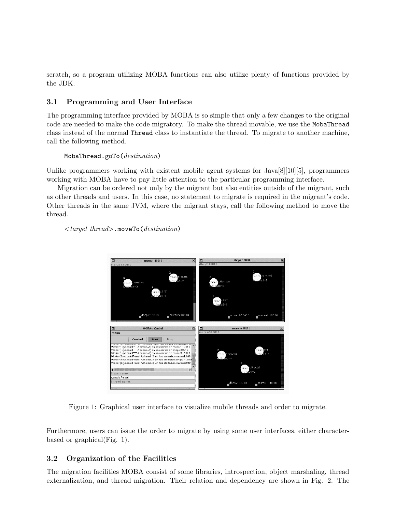scratch, so a program utilizing MOBA functions can also utilize plenty of functions provided by the JDK.

### **3.1 Programming and User Interface**

The programming interface provided by MOBA is so simple that only a few changes to the original code are needed to make the code migratory. To make the thread movable, we use the MobaThread class instead of the normal Thread class to instantiate the thread. To migrate to another machine, call the following method.

### MobaThread.goTo(*destination*)

Unlike programmers working with existent mobile agent systems for Java<sup>[8]</sup>[10<sup>]</sup>[5], programmers working with MOBA have to pay little attention to the particular programming interface.

Migration can be ordered not only by the migrant but also entities outside of the migrant, such as other threads and users. In this case, no statement to migrate is required in the migrant's code. Other threads in the same JVM, where the migrant stays, call the following method to move the thread.

*<target thread>*.moveTo(*destination*)



Figure 1: Graphical user interface to visualize mobile threads and order to migrate.

Furthermore, users can issue the order to migrate by using some user interfaces, either characterbased or graphical(Fig. 1).

### **3.2 Organization of the Facilities**

The migration facilities MOBA consist of some libraries, introspection, object marshaling, thread externalization, and thread migration. Their relation and dependency are shown in Fig. 2. The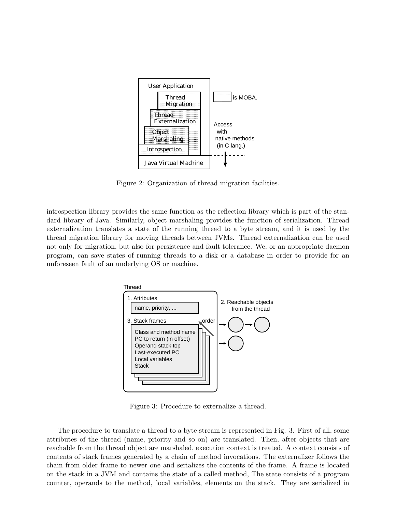

Figure 2: Organization of thread migration facilities.

introspection library provides the same function as the reflection library which is part of the standard library of Java. Similarly, object marshaling provides the function of serialization. Thread externalization translates a state of the running thread to a byte stream, and it is used by the thread migration library for moving threads between JVMs. Thread externalization can be used not only for migration, but also for persistence and fault tolerance. We, or an appropriate daemon program, can save states of running threads to a disk or a database in order to provide for an unforeseen fault of an underlying OS or machine.



Figure 3: Procedure to externalize a thread.

The procedure to translate a thread to a byte stream is represented in Fig. 3. First of all, some attributes of the thread (name, priority and so on) are translated. Then, after objects that are reachable from the thread object are marshaled, execution context is treated. A context consists of contents of stack frames generated by a chain of method invocations. The externalizer follows the chain from older frame to newer one and serializes the contents of the frame. A frame is located on the stack in a JVM and contains the state of a called method, The state consists of a program counter, operands to the method, local variables, elements on the stack. They are serialized in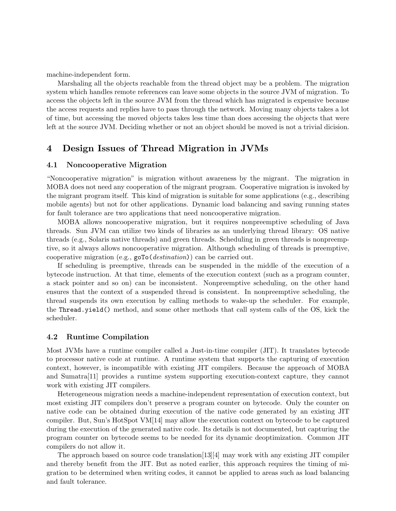machine-independent form.

Marshaling all the objects reachable from the thread object may be a problem. The migration system which handles remote references can leave some objects in the source JVM of migration. To access the objects left in the source JVM from the thread which has migrated is expensive because the access requests and replies have to pass through the network. Moving many objects takes a lot of time, but accessing the moved objects takes less time than does accessing the objects that were left at the source JVM. Deciding whether or not an object should be moved is not a trivial dicision.

## **4 Design Issues of Thread Migration in JVMs**

#### **4.1 Noncooperative Migration**

"Noncooperative migration" is migration without awareness by the migrant. The migration in MOBA does not need any cooperation of the migrant program. Cooperative migration is invoked by the migrant program itself. This kind of migration is suitable for some applications (e.g., describing mobile agents) but not for other applications. Dynamic load balancing and saving running states for fault tolerance are two applications that need noncooperative migration.

MOBA allows noncooperative migration, but it requires nonpreemptive scheduling of Java threads. Sun JVM can utilize two kinds of libraries as an underlying thread library: OS native threads (e.g., Solaris native threads) and green threads. Scheduling in green threads is nonpreemptive, so it always allows noncooperative migration. Although scheduling of threads is preemptive, cooperative migration (e.g., goTo(*destination*)) can be carried out.

If scheduling is preemptive, threads can be suspended in the middle of the execution of a bytecode instruction. At that time, elements of the execution context (such as a program counter, a stack pointer and so on) can be inconsistent. Nonpreemptive scheduling, on the other hand ensures that the context of a suspended thread is consistent. In nonpreemptive scheduling, the thread suspends its own execution by calling methods to wake-up the scheduler. For example, the Thread.yield() method, and some other methods that call system calls of the OS, kick the scheduler.

#### **4.2 Runtime Compilation**

Most JVMs have a runtime compiler called a Just-in-time compiler (JIT). It translates bytecode to processor native code at runtime. A runtime system that supports the capturing of execution context, however, is incompatible with existing JIT compilers. Because the approach of MOBA and Sumatra[11] provides a runtime system supporting execution-context capture, they cannot work with existing JIT compilers.

Heterogeneous migration needs a machine-independent representation of execution context, but most existing JIT compilers don't preserve a program counter on bytecode. Only the counter on native code can be obtained during execution of the native code generated by an existing JIT compiler. But, Sun's HotSpot VM[14] may allow the execution context on bytecode to be captured during the execution of the generated native code. Its details is not documented, but capturing the program counter on bytecode seems to be needed for its dynamic deoptimization. Common JIT compilers do not allow it.

The approach based on source code translation $[13][4]$  may work with any existing JIT compiler and thereby benefit from the JIT. But as noted earlier, this approach requires the timing of migration to be determined when writing codes, it cannot be applied to areas such as load balancing and fault tolerance.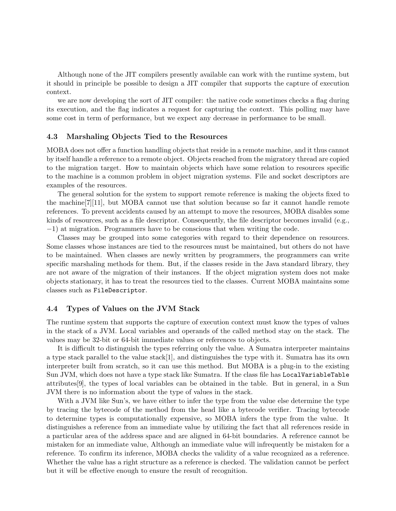Although none of the JIT compilers presently available can work with the runtime system, but it should in principle be possible to design a JIT compiler that supports the capture of execution context.

we are now developing the sort of JIT compiler: the native code sometimes checks a flag during its execution, and the flag indicates a request for capturing the context. This polling may have some cost in term of performance, but we expect any decrease in performance to be small.

#### **4.3 Marshaling Objects Tied to the Resources**

MOBA does not offer a function handling objects that reside in a remote machine, and it thus cannot by itself handle a reference to a remote object. Objects reached from the migratory thread are copied to the migration target. How to maintain objects which have some relation to resources specific to the machine is a common problem in object migration systems. File and socket descriptors are examples of the resources.

The general solution for the system to support remote reference is making the objects fixed to the machine[7][11], but MOBA cannot use that solution because so far it cannot handle remote references. To prevent accidents caused by an attempt to move the resources, MOBA disables some kinds of resources, such as a file descriptor. Consequently, the file descriptor becomes invalid (e.g., *−*1) at migration. Programmers have to be conscious that when writing the code.

Classes may be grouped into some categories with regard to their dependence on resources. Some classes whose instances are tied to the resources must be maintained, but others do not have to be maintained. When classes are newly written by programmers, the programmers can write specific marshaling methods for them. But, if the classes reside in the Java standard library, they are not aware of the migration of their instances. If the object migration system does not make objects stationary, it has to treat the resources tied to the classes. Current MOBA maintains some classes such as FileDescriptor.

#### **4.4 Types of Values on the JVM Stack**

The runtime system that supports the capture of execution context must know the types of values in the stack of a JVM. Local variables and operands of the called method stay on the stack. The values may be 32-bit or 64-bit immediate values or references to objects.

It is difficult to distinguish the types referring only the value. A Sumatra interpreter maintains a type stack parallel to the value stack[1], and distinguishes the type with it. Sumatra has its own interpreter built from scratch, so it can use this method. But MOBA is a plug-in to the existing Sun JVM, which does not have a type stack like Sumatra. If the class file has LocalVariableTable attributes[9], the types of local variables can be obtained in the table. But in general, in a Sun JVM there is no information about the type of values in the stack.

With a JVM like Sun's, we have either to infer the type from the value else determine the type by tracing the bytecode of the method from the head like a bytecode verifier. Tracing bytecode to determine types is computationally expensive, so MOBA infers the type from the value. It distinguishes a reference from an immediate value by utilizing the fact that all references reside in a particular area of the address space and are aligned in 64-bit boundaries. A reference cannot be mistaken for an immediate value, Although an immediate value will infrequently be mistaken for a reference. To confirm its inference, MOBA checks the validity of a value recognized as a reference. Whether the value has a right structure as a reference is checked. The validation cannot be perfect but it will be effective enough to ensure the result of recognition.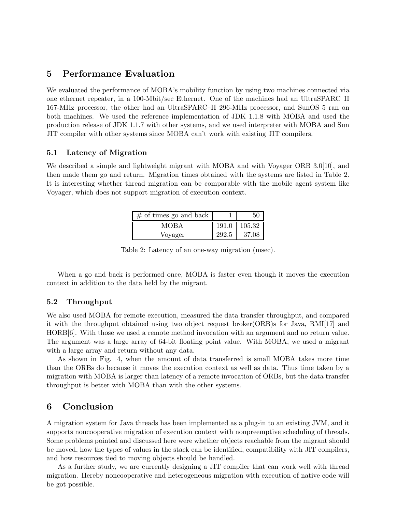## **5 Performance Evaluation**

We evaluated the performance of MOBA's mobility function by using two machines connected via one ethernet repeater, in a 100-Mbit/sec Ethernet. One of the machines had an UltraSPARC–II 167-MHz processor, the other had an UltraSPARC–II 296-MHz processor, and SunOS 5 ran on both machines. We used the reference implementation of JDK 1.1.8 with MOBA and used the production release of JDK 1.1.7 with other systems, and we used interpreter with MOBA and Sun JIT compiler with other systems since MOBA can't work with existing JIT compilers.

### **5.1 Latency of Migration**

We described a simple and lightweight migrant with MOBA and with Voyager ORB 3.0[10], and then made them go and return. Migration times obtained with the systems are listed in Table 2. It is interesting whether thread migration can be comparable with the mobile agent system like Voyager, which does not support migration of execution context.

| $\#$ of times go and back |         | 50     |
|---------------------------|---------|--------|
| MOBA                      | $191.0$ | 105.32 |
| Voyager                   | 292.5   | 37.08  |

Table 2: Latency of an one-way migration (msec).

When a go and back is performed once, MOBA is faster even though it moves the execution context in addition to the data held by the migrant.

### **5.2 Throughput**

We also used MOBA for remote execution, measured the data transfer throughput, and compared it with the throughput obtained using two object request broker(ORB)s for Java, RMI[17] and HORB[6]. With those we used a remote method invocation with an argument and no return value. The argument was a large array of 64-bit floating point value. With MOBA, we used a migrant with a large array and return without any data.

As shown in Fig. 4, when the amount of data transferred is small MOBA takes more time than the ORBs do because it moves the execution context as well as data. Thus time taken by a migration with MOBA is larger than latency of a remote invocation of ORBs, but the data transfer throughput is better with MOBA than with the other systems.

## **6 Conclusion**

A migration system for Java threads has been implemented as a plug-in to an existing JVM, and it supports noncooperative migration of execution context with nonpreemptive scheduling of threads. Some problems pointed and discussed here were whether objects reachable from the migrant should be moved, how the types of values in the stack can be identified, compatibility with JIT compilers, and how resources tied to moving objects should be handled.

As a further study, we are currently designing a JIT compiler that can work well with thread migration. Hereby noncooperative and heterogeneous migration with execution of native code will be got possible.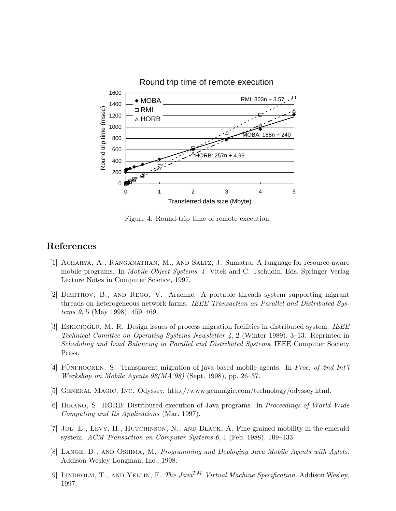

Figure 4: Round-trip time of remote execution.

## **References**

- [1] Acharya, A., Ranganathan, M., and Saltz, J. Sumatra: A language for resource-aware mobile programs. In *Mobile Object Systems*, J. Vitek and C. Tschudin, Eds. Springer Verlag Lecture Notes in Computer Science, 1997.
- [2] Dimitrov, B., and Rego, V. Arachne: A portable threads system supporting migrant threads on heterogeneous network farms. *IEEE Transaction on Parallel and Distributed Systems 9*, 5 (May 1998), 459–469.
- [3] ESKICIOGLU, M. R. Design issues of process migration facilities in distributed system. *IEEE Technical Comittee on Operating Systems Newsletter 4*, 2 (Winter 1989), 3–13. Reprinted in *Scheduling and Load Balancing in Parallel and Distributed Systems*, IEEE Computer Society Press.
- [4] FÜNFROCKEN, S. Transparent migration of java-based mobile agents. In *Proc. of 2nd Int'l Workshop on Mobile Agents 98(MA'98)* (Sept. 1998), pp. 26–37.
- [5] General Magic, Inc. Odyssey. http://www.genmagic.com/technology/odyssey.html.
- [6] Hirano, S. HORB: Distributed execution of Java programs. In *Proceedings of World Wide Computing and Its Applications* (Mar. 1997).
- [7] Jul, E., Levy, H., Hutchinson, N., and Black, A. Fine-grained mobility in the emerald system. *ACM Transaction on Computer Systems 6*, 1 (Feb. 1988), 109–133.
- [8] Lange, D., and Oshima, M. *Programming and Deploying Java Mobile Agents with Aglets*. Addison Wesley Longman, Inc., 1998.
- [9] Lindholm, T., and Yellin, F. *The JavaTM Virtual Machine Specification*. Addison Wesley, 1997.